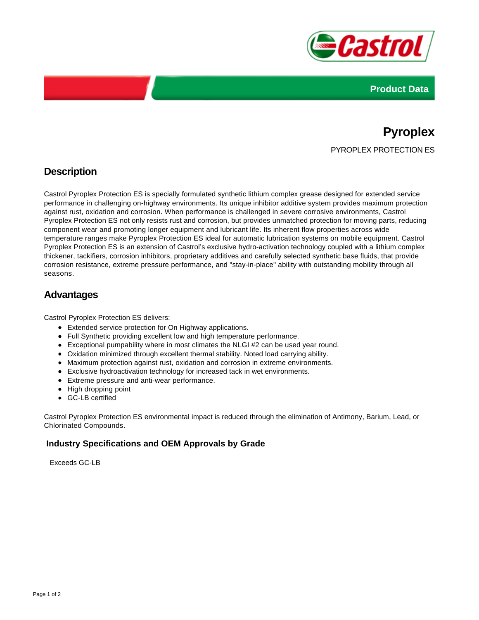



# **Pyroplex** PYROPLEX PROTECTION ES

## **Description**

Castrol Pyroplex Protection ES is specially formulated synthetic lithium complex grease designed for extended service performance in challenging on-highway environments. Its unique inhibitor additive system provides maximum protection against rust, oxidation and corrosion. When performance is challenged in severe corrosive environments, Castrol Pyroplex Protection ES not only resists rust and corrosion, but provides unmatched protection for moving parts, reducing component wear and promoting longer equipment and lubricant life. Its inherent flow properties across wide temperature ranges make Pyroplex Protection ES ideal for automatic lubrication systems on mobile equipment. Castrol Pyroplex Protection ES is an extension of Castrol's exclusive hydro-activation technology coupled with a lithium complex thickener, tackifiers, corrosion inhibitors, proprietary additives and carefully selected synthetic base fluids, that provide corrosion resistance, extreme pressure performance, and "stay-in-place" ability with outstanding mobility through all seasons.

### **Advantages**

Castrol Pyroplex Protection ES delivers:

- Extended service protection for On Highway applications.
- Full Synthetic providing excellent low and high temperature performance.
- Exceptional pumpability where in most climates the NLGI #2 can be used year round.
- Oxidation minimized through excellent thermal stability. Noted load carrying ability.
- Maximum protection against rust, oxidation and corrosion in extreme environments.
- Exclusive hydroactivation technology for increased tack in wet environments.
- Extreme pressure and anti-wear performance.
- High dropping point
- GC-LB certified

Castrol Pyroplex Protection ES environmental impact is reduced through the elimination of Antimony, Barium, Lead, or Chlorinated Compounds.

#### **Industry Specifications and OEM Approvals by Grade**

Exceeds GC-LB